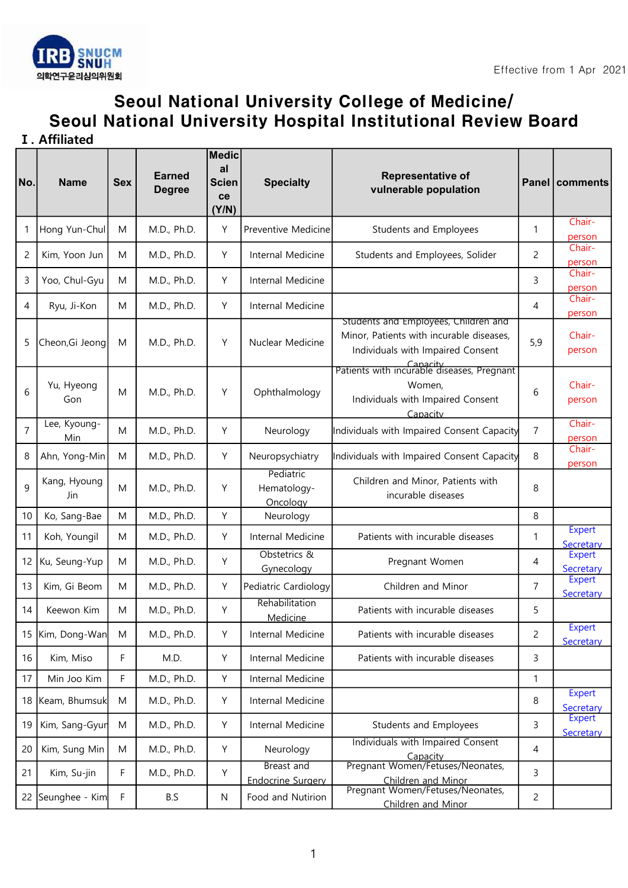

## Seoul National University College of Medicine/ Seoul National University Hospital Institutional Review Board

Ⅰ. Affiliated

| No.            | <b>Name</b>                | <b>Sex</b> | <b>Earned</b><br><b>Degree</b> | <b>Medic</b><br>al<br><b>Scien</b><br>ce<br>(Y/N) | <b>Specialty</b>                       | <b>Representative of</b><br>vulnerable population                                                                     |                | Panel comments             |
|----------------|----------------------------|------------|--------------------------------|---------------------------------------------------|----------------------------------------|-----------------------------------------------------------------------------------------------------------------------|----------------|----------------------------|
| 1              | Hong Yun-Chul              | M          | M.D., Ph.D.                    | Y                                                 | Preventive Medicine                    | Students and Employees                                                                                                | 1              | Chair-<br>person           |
| $\overline{c}$ | Kim, Yoon Jun              | M          | M.D., Ph.D.                    | Υ                                                 | Internal Medicine                      | Students and Employees, Solider                                                                                       | 2              | Chair-<br>person           |
| 3              | Yoo, Chul-Gyu              | M          | M.D., Ph.D.                    | Y                                                 | Internal Medicine                      |                                                                                                                       | 3              | Chair-<br>person           |
| 4              | Ryu, Ji-Kon                | M          | M.D., Ph.D.                    | Y                                                 | Internal Medicine                      |                                                                                                                       | 4              | Chair-<br>person           |
| 5              | Cheon, Gi Jeong            | M          | M.D., Ph.D.                    | Y                                                 | Nuclear Medicine                       | Students and Employees, Children and<br>Minor, Patients with incurable diseases,<br>Individuals with Impaired Consent | 5,9            | Chair-<br>person           |
| 6              | Yu, Hyeong<br>Gon          | M          | M.D., Ph.D.                    | Y                                                 | Ophthalmology                          | Patients with incurable diseases, Pregnant<br>Women,<br>Individuals with Impaired Consent<br>Capacity                 | 6              | Chair-<br>person           |
| $\overline{7}$ | Lee, Kyoung-<br><b>Min</b> | M          | M.D., Ph.D.                    | Y                                                 | Neurology                              | Individuals with Impaired Consent Capacity                                                                            | $\overline{7}$ | Chair-<br>person           |
| 8              | Ahn, Yong-Min              | M          | M.D., Ph.D.                    | Y                                                 | Neuropsychiatry                        | Individuals with Impaired Consent Capacity                                                                            | 8              | Chair-<br>person           |
| 9              | Kang, Hyoung<br>Jin        | M          | M.D., Ph.D.                    | Y                                                 | Pediatric<br>Hematology-<br>Oncology   | Children and Minor, Patients with<br>incurable diseases                                                               | 8              |                            |
| 10             | Ko, Sang-Bae               | M          | M.D., Ph.D.                    | Υ                                                 | Neurology                              |                                                                                                                       | 8              |                            |
| 11             | Koh, Youngil               | M          | M.D., Ph.D.                    | Y                                                 | Internal Medicine                      | Patients with incurable diseases                                                                                      | 1              | <b>Expert</b><br>Secretary |
| 12             | Ku, Seung-Yup              | M          | M.D., Ph.D.                    | Y                                                 | Obstetrics &<br>Gynecology             | Pregnant Women                                                                                                        | 4              | <b>Expert</b><br>Secretary |
| 13             | Kim, Gi Beom               | M          | M.D., Ph.D.                    | Y                                                 | Pediatric Cardiology                   | Children and Minor                                                                                                    | $\overline{7}$ | <b>Expert</b><br>Secretary |
| 14             | Keewon Kim                 | M          | M.D., Ph.D.                    | Y                                                 | Rehabilitation<br>Medicine             | Patients with incurable diseases                                                                                      | 5              |                            |
| 15             | Kim, Dong-Wan              | M          | M.D., Ph.D.                    | Υ                                                 | Internal Medicine                      | Patients with incurable diseases                                                                                      | $\overline{c}$ | Expert<br>Secretary        |
| 16             | Kim, Miso                  | F          | M.D.                           | Υ                                                 | Internal Medicine                      | Patients with incurable diseases                                                                                      | 3              |                            |
| 17             | Min Joo Kim                | F          | M.D., Ph.D.                    | Υ                                                 | Internal Medicine                      |                                                                                                                       | $\mathbf{1}$   |                            |
| 18             | Keam, Bhumsuk              | M          | M.D., Ph.D.                    | Υ                                                 | Internal Medicine                      |                                                                                                                       | 8              | <b>Expert</b><br>Secretary |
| 19             | Kim, Sang-Gyur             | M          | M.D., Ph.D.                    | Υ                                                 | Internal Medicine                      | <b>Students and Employees</b>                                                                                         | 3              | <b>Expert</b><br>Secretary |
| 20             | Kim, Sung Min              | M          | M.D., Ph.D.                    | Υ                                                 | Neurology                              | Individuals with Impaired Consent<br>Capacity                                                                         | $\overline{4}$ |                            |
| 21             | Kim, Su-jin                | F          | M.D., Ph.D.                    | Υ                                                 | Breast and<br><b>Endocrine Surgery</b> | Pregnant Women/Fetuses/Neonates,<br>Children and Minor                                                                | 3              |                            |
|                | 22 Seunghee - Kim          | F          | B.S                            | ${\sf N}$                                         | Food and Nutirion                      | Pregnant Women/Fetuses/Neonates,<br>Children and Minor                                                                | $\overline{c}$ |                            |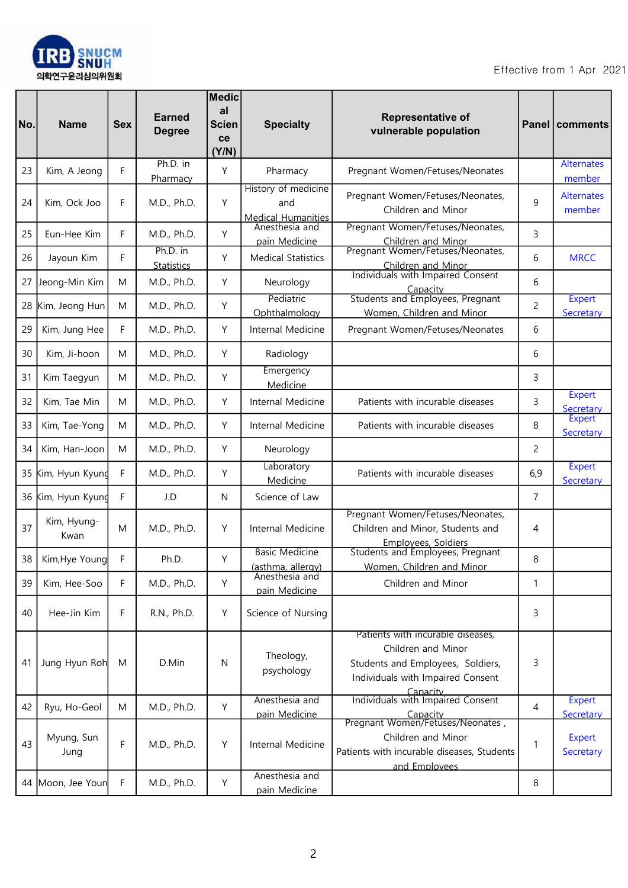

| No. | <b>Name</b>         | <b>Sex</b> | <b>Earned</b><br><b>Degree</b> | <b>Medic</b><br>al<br><b>Scien</b><br><b>ce</b><br>(Y/N) | <b>Specialty</b>                                        | <b>Representative of</b><br>vulnerable population                                                                                             |     | Panel   comments            |
|-----|---------------------|------------|--------------------------------|----------------------------------------------------------|---------------------------------------------------------|-----------------------------------------------------------------------------------------------------------------------------------------------|-----|-----------------------------|
| 23  | Kim, A Jeong        | F          | Ph.D. in<br>Pharmacy           | Y                                                        | Pharmacy                                                | Pregnant Women/Fetuses/Neonates                                                                                                               |     | <b>Alternates</b><br>member |
| 24  | Kim, Ock Joo        | F          | M.D., Ph.D.                    | Y                                                        | History of medicine<br>and<br><b>Medical Humanities</b> | Pregnant Women/Fetuses/Neonates,<br>Children and Minor                                                                                        | 9   | <b>Alternates</b><br>member |
| 25  | Eun-Hee Kim         | F          | M.D., Ph.D.                    | Y                                                        | Anesthesia and<br>pain Medicine                         | Pregnant Women/Fetuses/Neonates,<br>Children and Minor                                                                                        | 3   |                             |
| 26  | Jayoun Kim          | F          | Ph.D. in<br><b>Statistics</b>  | Y                                                        | <b>Medical Statistics</b>                               | Pregnant Women/Fetuses/Neonates,<br>Children and Minor                                                                                        | 6   | <b>MRCC</b>                 |
| 27  | Jeong-Min Kim       | M          | M.D., Ph.D.                    | Y                                                        | Neurology                                               | Individuals with Impaired Consent<br>Capacity                                                                                                 | 6   |                             |
| 28  | Kim, Jeong Hun      | M          | M.D., Ph.D.                    | Υ                                                        | Pediatric<br>Ophthalmology                              | Students and Employees, Pregnant<br>Women, Children and Minor                                                                                 | 2   | <b>Expert</b><br>Secretary  |
| 29  | Kim, Jung Hee       | F          | M.D., Ph.D.                    | Y                                                        | Internal Medicine                                       | Pregnant Women/Fetuses/Neonates                                                                                                               | 6   |                             |
| 30  | Kim, Ji-hoon        | M          | M.D., Ph.D.                    | Y                                                        | Radiology<br>Emergency                                  |                                                                                                                                               | 6   |                             |
| 31  | Kim Taegyun         | M          | M.D., Ph.D.                    | Υ                                                        | Medicine                                                |                                                                                                                                               | 3   | <b>Expert</b>               |
| 32  | Kim, Tae Min        | M          | M.D., Ph.D.                    | Y                                                        | Internal Medicine                                       | Patients with incurable diseases                                                                                                              | 3   | Secretary<br><b>Expert</b>  |
| 33  | Kim, Tae-Yong       | M          | M.D., Ph.D.                    | Y                                                        | Internal Medicine                                       | Patients with incurable diseases                                                                                                              | 8   | Secretary                   |
| 34  | Kim, Han-Joon       | M          | M.D., Ph.D.                    | Y                                                        | Neurology<br>Laboratory                                 |                                                                                                                                               | 2   | <b>Expert</b>               |
| 35  | Kim, Hyun Kyund     | F          | M.D., Ph.D.                    | Υ                                                        | Medicine                                                | Patients with incurable diseases                                                                                                              | 6,9 | Secretary                   |
| 36  | Kim, Hyun Kyund     | F          | J.D                            | N                                                        | Science of Law                                          | Pregnant Women/Fetuses/Neonates,                                                                                                              | 7   |                             |
| 37  | Kim, Hyung-<br>Kwan | M          | M.D., Ph.D.                    | Y                                                        | Internal Medicine                                       | Children and Minor, Students and<br>Employees, Soldiers                                                                                       | 4   |                             |
| 38  | Kim, Hye Young      | F          | Ph.D.                          | Y                                                        | <b>Basic Medicine</b><br>(asthma, allergy)              | Students and Employees, Pregnant<br>Women, Children and Minor                                                                                 | 8   |                             |
| 39  | Kim, Hee-Soo        | F          | M.D., Ph.D.                    | Y                                                        | Anesthesia and<br>pain Medicine                         | Children and Minor                                                                                                                            | 1   |                             |
| 40  | Hee-Jin Kim         | F          | R.N., Ph.D.                    | Υ                                                        | Science of Nursing                                      |                                                                                                                                               | 3   |                             |
| 41  | Jung Hyun Roh       | M          | D.Min                          | N                                                        | Theology,<br>psychology                                 | Patients with incurable diseases,<br>Children and Minor<br>Students and Employees, Soldiers,<br>Individuals with Impaired Consent<br>Capacity | 3   |                             |
| 42  | Ryu, Ho-Geol        | M          | M.D., Ph.D.                    | Υ                                                        | Anesthesia and<br>pain Medicine                         | Individuals with Impaired Consent<br>Capacity                                                                                                 | 4   | <b>Expert</b><br>Secretary  |
| 43  | Myung, Sun<br>Jung  | F          | M.D., Ph.D.                    | Υ                                                        | Internal Medicine                                       | Pregnant Women/Fetuses/Neonates,<br>Children and Minor<br>Patients with incurable diseases, Students<br>and Employees                         | 1   | <b>Expert</b><br>Secretary  |
|     | 44 Moon, Jee Youn   | F          | M.D., Ph.D.                    | Υ                                                        | Anesthesia and<br>pain Medicine                         |                                                                                                                                               | 8   |                             |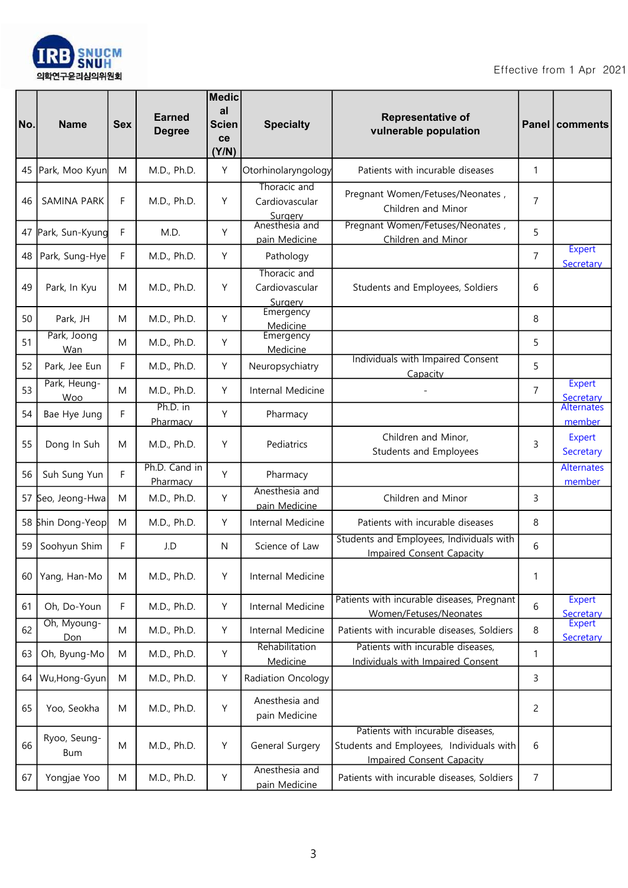

| No. | <b>Name</b>         | <b>Sex</b> | <b>Earned</b><br><b>Degree</b> | <b>Medic</b><br>al<br><b>Scien</b><br>ce<br>(Y/N) | <b>Specialty</b>                          | Representative of<br>vulnerable population                                                                        |                | Panel   comments           |
|-----|---------------------|------------|--------------------------------|---------------------------------------------------|-------------------------------------------|-------------------------------------------------------------------------------------------------------------------|----------------|----------------------------|
| 45  | Park, Moo Kyun      | M          | M.D., Ph.D.                    | Y                                                 | Otorhinolaryngology                       | Patients with incurable diseases                                                                                  | 1              |                            |
| 46  | SAMINA PARK         | F          | M.D., Ph.D.                    | Υ                                                 | Thoracic and<br>Cardiovascular<br>Surgery | Pregnant Women/Fetuses/Neonates,<br>Children and Minor                                                            | $\overline{7}$ |                            |
| 47  | Park, Sun-Kyung     | F          | M.D.                           | Υ                                                 | Anesthesia and<br>pain Medicine           | Pregnant Women/Fetuses/Neonates,<br>Children and Minor                                                            | 5              |                            |
| 48  | Park, Sung-Hye      | F          | M.D., Ph.D.                    | Y                                                 | Pathology                                 |                                                                                                                   | $\overline{7}$ | <b>Expert</b><br>Secretary |
| 49  | Park, In Kyu        | M          | M.D., Ph.D.                    | Υ                                                 | Thoracic and<br>Cardiovascular<br>Surgery | Students and Employees, Soldiers                                                                                  | 6              |                            |
| 50  | Park, JH            | M          | M.D., Ph.D.                    | Υ                                                 | Emergency<br>Medicine                     |                                                                                                                   | 8              |                            |
| 51  | Park, Joong<br>Wan  | M          | M.D., Ph.D.                    | Y                                                 | Emergency<br>Medicine                     |                                                                                                                   | 5              |                            |
| 52  | Park, Jee Eun       | F          | M.D., Ph.D.                    | Υ                                                 | Neuropsychiatry                           | Individuals with Impaired Consent<br>Capacity                                                                     | 5              |                            |
| 53  | Park, Heung-<br>Woo | M          | M.D., Ph.D.                    | Y                                                 | Internal Medicine                         |                                                                                                                   | $\overline{7}$ | <b>Expert</b><br>Secretary |
| 54  | Bae Hye Jung        | F          | Ph.D. in<br>Pharmacy           | Y                                                 | Pharmacy                                  |                                                                                                                   |                | Alternates<br>member       |
| 55  | Dong In Suh         | M          | M.D., Ph.D.                    | Υ                                                 | Pediatrics                                | Children and Minor,<br>Students and Employees                                                                     | 3              | <b>Expert</b><br>Secretary |
| 56  | Suh Sung Yun        | F          | Ph.D. Cand in<br>Pharmacy      | Υ                                                 | Pharmacy                                  |                                                                                                                   |                | Alternates<br>member       |
|     | 57 Seo, Jeong-Hwa   | M          | M.D., Ph.D.                    | Y                                                 | Anesthesia and<br>pain Medicine           | Children and Minor                                                                                                | 3              |                            |
|     | 58 Shin Dong-Yeop   | M          | M.D., Ph.D.                    | Y                                                 | Internal Medicine                         | Patients with incurable diseases                                                                                  | 8              |                            |
| 59  | Soohyun Shim        | F          | J.D                            | N                                                 | Science of Law                            | Students and Employees, Individuals with<br><b>Impaired Consent Capacity</b>                                      | 6              |                            |
| 60  | Yang, Han-Mo        | M          | M.D., Ph.D.                    | Y                                                 | Internal Medicine                         |                                                                                                                   | 1              |                            |
| 61  | Oh, Do-Youn         | F          | M.D., Ph.D.                    | Y                                                 | Internal Medicine                         | Patients with incurable diseases, Pregnant<br>Women/Fetuses/Neonates                                              | 6              | <b>Expert</b><br>Secretary |
| 62  | Oh, Myoung-<br>Don  | M          | M.D., Ph.D.                    | Y                                                 | Internal Medicine                         | Patients with incurable diseases, Soldiers                                                                        | 8              | <b>Expert</b><br>Secretary |
| 63  | Oh, Byung-Mo        | M          | M.D., Ph.D.                    | Y                                                 | Rehabilitation<br>Medicine                | Patients with incurable diseases,<br><b>Individuals with Impaired Consent</b>                                     | 1              |                            |
| 64  | Wu,Hong-Gyun        | M          | M.D., Ph.D.                    | Y                                                 | Radiation Oncology                        |                                                                                                                   | 3              |                            |
| 65  | Yoo, Seokha         | M          | M.D., Ph.D.                    | Y                                                 | Anesthesia and<br>pain Medicine           |                                                                                                                   | 2              |                            |
| 66  | Ryoo, Seung-<br>Bum | M          | M.D., Ph.D.                    | Υ                                                 | General Surgery                           | Patients with incurable diseases,<br>Students and Employees, Individuals with<br><b>Impaired Consent Capacity</b> | 6              |                            |
| 67  | Yongjae Yoo         | M          | M.D., Ph.D.                    | Y                                                 | Anesthesia and<br>pain Medicine           | Patients with incurable diseases, Soldiers                                                                        | 7              |                            |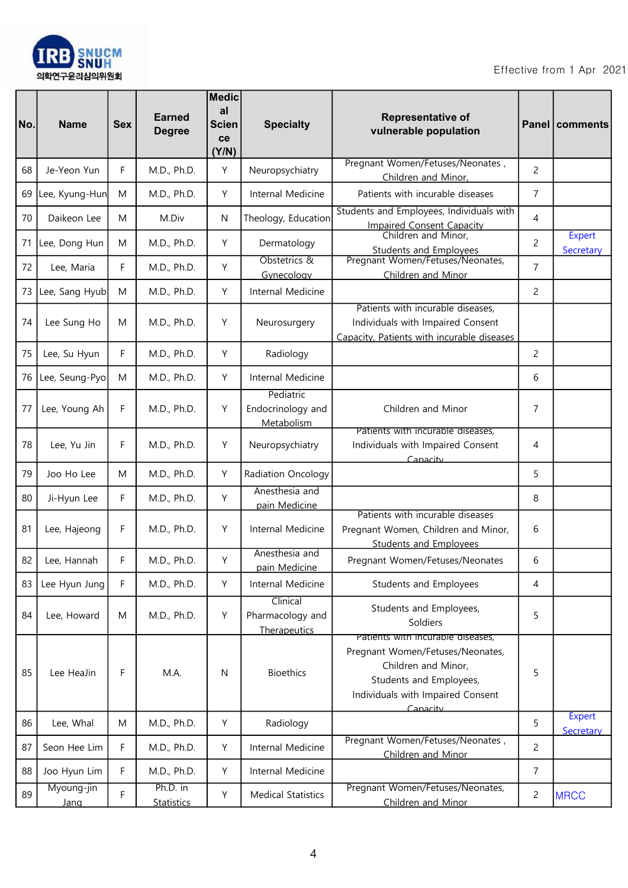

| No. | <b>Name</b>        | <b>Sex</b> | <b>Earned</b><br><b>Degree</b> | <b>Medic</b><br>al<br><b>Scien</b><br>ce<br>(Y/N) | <b>Specialty</b>                             | Representative of<br>vulnerable population                                                                                                                               |                | Panel   comments           |
|-----|--------------------|------------|--------------------------------|---------------------------------------------------|----------------------------------------------|--------------------------------------------------------------------------------------------------------------------------------------------------------------------------|----------------|----------------------------|
| 68  | Je-Yeon Yun        | F          | M.D., Ph.D.                    | Y                                                 | Neuropsychiatry                              | Pregnant Women/Fetuses/Neonates,<br>Children and Minor,                                                                                                                  | $\overline{c}$ |                            |
| 69  | Lee, Kyung-Hun     | M          | M.D., Ph.D.                    | Y                                                 | Internal Medicine                            | Patients with incurable diseases                                                                                                                                         | 7              |                            |
| 70  | Daikeon Lee        | M          | M.Div                          | N                                                 | Theology, Education                          | Students and Employees, Individuals with<br><b>Impaired Consent Capacity</b>                                                                                             | 4              |                            |
| 71  | Lee, Dong Hun      | M          | M.D., Ph.D.                    | Y                                                 | Dermatology                                  | Children and Minor,<br><b>Students and Employees</b>                                                                                                                     | $\overline{c}$ | <b>Expert</b><br>Secretary |
| 72  | Lee, Maria         | F          | M.D., Ph.D.                    | Y                                                 | Obstetrics &<br>Gynecology                   | Pregnant Women/Fetuses/Neonates,<br>Children and Minor                                                                                                                   | $\overline{7}$ |                            |
| 73  | Lee, Sang Hyub     | M          | M.D., Ph.D.                    | Y                                                 | Internal Medicine                            |                                                                                                                                                                          | 2              |                            |
| 74  | Lee Sung Ho        | M          | M.D., Ph.D.                    | Y                                                 | Neurosurgery                                 | Patients with incurable diseases,<br>Individuals with Impaired Consent<br>Capacity, Patients with incurable diseases                                                     |                |                            |
| 75  | Lee, Su Hyun       | F          | M.D., Ph.D.                    | Y                                                 | Radiology                                    |                                                                                                                                                                          | 2              |                            |
| 76  | Lee, Seung-Pyo     | M          | M.D., Ph.D.                    | Y                                                 | Internal Medicine                            |                                                                                                                                                                          | 6              |                            |
| 77  | Lee, Young Ah      | F          | M.D., Ph.D.                    | Y                                                 | Pediatric<br>Endocrinology and<br>Metabolism | Children and Minor                                                                                                                                                       | 7              |                            |
| 78  | Lee, Yu Jin        | F          | M.D., Ph.D.                    | Y                                                 | Neuropsychiatry                              | Patients with incurable diseases,<br>Individuals with Impaired Consent<br>Canacity                                                                                       | 4              |                            |
| 79  | Joo Ho Lee         | M          | M.D., Ph.D.                    | Y                                                 | Radiation Oncology                           |                                                                                                                                                                          | 5              |                            |
| 80  | Ji-Hyun Lee        | F          | M.D., Ph.D.                    | Y                                                 | Anesthesia and<br>pain Medicine              |                                                                                                                                                                          | 8              |                            |
| 81  | Lee, Hajeong       | F          | M.D., Ph.D.                    | Υ                                                 | Internal Medicine                            | Patients with incurable diseases<br>Pregnant Women, Children and Minor,<br><b>Students and Employees</b>                                                                 | 6              |                            |
| 82  | Lee, Hannah        | F          | M.D., Ph.D.                    | Υ                                                 | Anesthesia and<br>pain Medicine              | Pregnant Women/Fetuses/Neonates                                                                                                                                          | 6              |                            |
| 83  | Lee Hyun Jung      | F          | M.D., Ph.D.                    | Y                                                 | Internal Medicine                            | Students and Employees                                                                                                                                                   | 4              |                            |
| 84  | Lee, Howard        | M          | M.D., Ph.D.                    | Y                                                 | Clinical<br>Pharmacology and<br>Therapeutics | Students and Employees,<br>Soldiers                                                                                                                                      | 5              |                            |
| 85  | Lee HeaJin         | F          | M.A.                           | N                                                 | <b>Bioethics</b>                             | Patients with incurable diseases,<br>Pregnant Women/Fetuses/Neonates,<br>Children and Minor,<br>Students and Employees,<br>Individuals with Impaired Consent<br>Canacity | 5              |                            |
| 86  | Lee, Whal          | M          | M.D., Ph.D.                    | Y                                                 | Radiology                                    |                                                                                                                                                                          | 5              | <b>Expert</b><br>Secretary |
| 87  | Seon Hee Lim       | F          | M.D., Ph.D.                    | Y                                                 | Internal Medicine                            | Pregnant Women/Fetuses/Neonates,<br>Children and Minor                                                                                                                   | $\overline{c}$ |                            |
| 88  | Joo Hyun Lim       | F          | M.D., Ph.D.                    | Υ                                                 | Internal Medicine                            |                                                                                                                                                                          | $\overline{7}$ |                            |
| 89  | Myoung-jin<br>Jang | F          | Ph.D. in<br><b>Statistics</b>  | Υ                                                 | <b>Medical Statistics</b>                    | Pregnant Women/Fetuses/Neonates,<br>Children and Minor                                                                                                                   | $\overline{c}$ | <b>MRCC</b>                |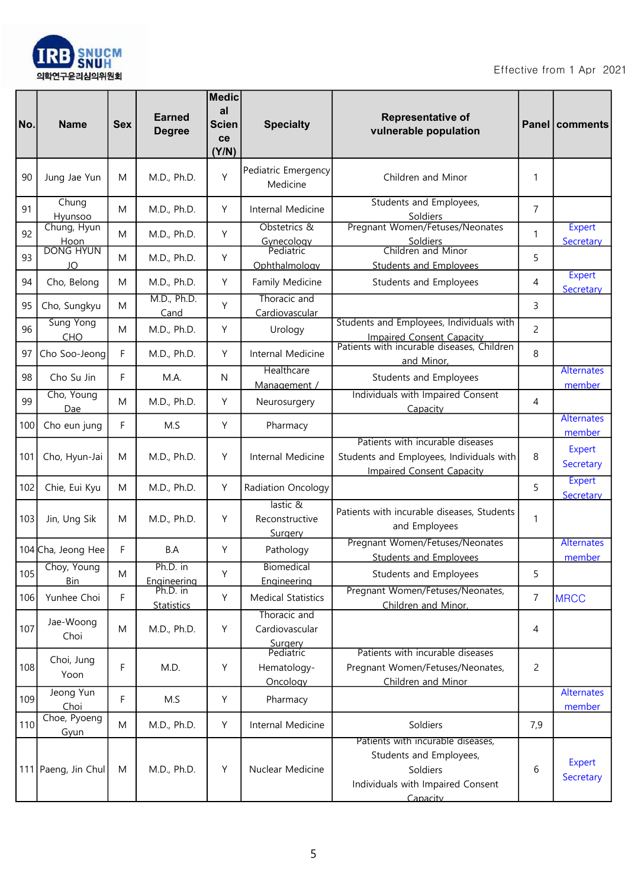

| No. | <b>Name</b>                      | <b>Sex</b> | <b>Earned</b><br><b>Degree</b> | <b>Medic</b><br>al<br><b>Scien</b><br>ce<br>(Y/N) | <b>Specialty</b>                                       | <b>Representative of</b><br>vulnerable population                                                                         |                | <b>Panel   comments</b>     |
|-----|----------------------------------|------------|--------------------------------|---------------------------------------------------|--------------------------------------------------------|---------------------------------------------------------------------------------------------------------------------------|----------------|-----------------------------|
| 90  | Jung Jae Yun                     | M          | M.D., Ph.D.                    | Y                                                 | Pediatric Emergency<br>Medicine                        | Children and Minor                                                                                                        | 1              |                             |
| 91  | Chung<br>Hyunsoo                 | M          | M.D., Ph.D.                    | Y                                                 | Internal Medicine                                      | Students and Employees,<br>Soldiers                                                                                       | $\overline{7}$ |                             |
| 92  | Chung, Hyun<br>Hoon<br>DONG HYUN | M          | M.D., Ph.D.                    | Y                                                 | Obstetrics &<br>Gynecology<br>Pediatric                | Pregnant Women/Fetuses/Neonates<br>Soldiers                                                                               | 1              | <b>Expert</b><br>Secretary  |
| 93  | JO                               | M          | M.D., Ph.D.                    | Υ                                                 | Ophthalmology                                          | Children and Minor<br><b>Students and Employees</b>                                                                       | 5              |                             |
| 94  | Cho, Belong                      | M          | M.D., Ph.D.                    | Y                                                 | Family Medicine                                        | Students and Employees                                                                                                    | 4              | <b>Expert</b><br>Secretary  |
| 95  | Cho, Sungkyu                     | M          | M.D., Ph.D.<br>Cand            | Υ                                                 | Thoracic and<br>Cardiovascular                         |                                                                                                                           | 3              |                             |
| 96  | <b>Sung Yong</b><br><b>CHO</b>   | M          | M.D., Ph.D.                    | Y                                                 | Urology                                                | Students and Employees, Individuals with<br><b>Impaired Consent Capacity</b>                                              | 2              |                             |
| 97  | Cho Soo-Jeong                    | F          | M.D., Ph.D.                    | Y                                                 | Internal Medicine                                      | Patients with incurable diseases, Children<br>and Minor,                                                                  | 8              |                             |
| 98  | Cho Su Jin                       | F          | M.A.                           | N.                                                | Healthcare<br>Management /                             | Students and Employees                                                                                                    |                | <b>Alternates</b><br>member |
| 99  | Cho, Young<br>Dae                | M          | M.D., Ph.D.                    | Y                                                 | Neurosurgery                                           | Individuals with Impaired Consent<br>Capacity                                                                             | 4              |                             |
| 100 | Cho eun jung                     | F          | M.S                            | Y                                                 | Pharmacy                                               |                                                                                                                           |                | <b>Alternates</b><br>member |
| 101 | Cho, Hyun-Jai                    | M          | M.D., Ph.D.                    | Y                                                 | Internal Medicine                                      | Patients with incurable diseases<br>Students and Employees, Individuals with<br><b>Impaired Consent Capacity</b>          | 8              | <b>Expert</b><br>Secretary  |
| 102 | Chie, Eui Kyu                    | M          | M.D., Ph.D.                    | Y                                                 | Radiation Oncology                                     |                                                                                                                           | 5              | <b>Expert</b><br>Secretary  |
| 103 | Jin, Ung Sik                     | M          | M.D., Ph.D.                    | Y                                                 | lastic &<br>Reconstructive<br>Surgery                  | Patients with incurable diseases, Students<br>and Employees                                                               | 1              |                             |
|     | 104 Cha, Jeong Hee               | F          | B.A                            | Υ                                                 | Pathology                                              | Pregnant Women/Fetuses/Neonates<br><b>Students and Employees</b>                                                          |                | <b>Alternates</b><br>member |
| 105 | Choy, Young<br><b>Bin</b>        | ${\sf M}$  | Ph.D. in<br>Engineering        | Υ                                                 | <b>Biomedical</b><br>Engineering                       | Students and Employees                                                                                                    | 5              |                             |
| 106 | Yunhee Choi                      | F          | Ph.D. in<br><b>Statistics</b>  | Y                                                 | <b>Medical Statistics</b>                              | Pregnant Women/Fetuses/Neonates,<br>Children and Minor,                                                                   | $\overline{7}$ | <b>MRCC</b>                 |
| 107 | Jae-Woong<br>Choi                | M          | M.D., Ph.D.                    | Y                                                 | Thoracic and<br>Cardiovascular<br>Surgery<br>Pediatric |                                                                                                                           | 4              |                             |
| 108 | Choi, Jung<br>Yoon               | F          | M.D.                           | Υ                                                 | Hematology-<br>Oncology                                | Patients with incurable diseases<br>Pregnant Women/Fetuses/Neonates,<br>Children and Minor                                | 2              |                             |
| 109 | Jeong Yun<br>Choi                | F          | M.S                            | Y                                                 | Pharmacy                                               |                                                                                                                           |                | <b>Alternates</b><br>member |
| 110 | Choe, Pyoeng<br>Gyun             | M          | M.D., Ph.D.                    | Y                                                 | Internal Medicine                                      | Soldiers                                                                                                                  | 7,9            |                             |
|     | 111 Paeng, Jin Chul              | M          | M.D., Ph.D.                    | Y                                                 | Nuclear Medicine                                       | Patients with incurable diseases,<br>Students and Employees,<br>Soldiers<br>Individuals with Impaired Consent<br>Canacity | 6              | <b>Expert</b><br>Secretary  |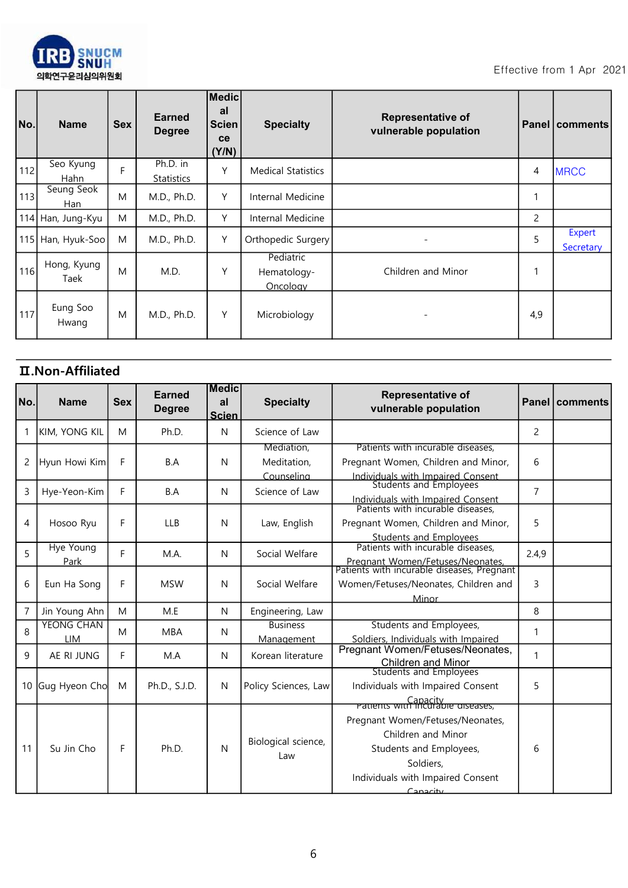

| No. | <b>Name</b>         | <b>Sex</b> | <b>Earned</b><br><b>Degree</b> | Medic<br>al<br>Scien<br>ce<br>(Y/N) | <b>Specialty</b>                     | <b>Representative of</b><br>vulnerable population |     | Panel   comments           |
|-----|---------------------|------------|--------------------------------|-------------------------------------|--------------------------------------|---------------------------------------------------|-----|----------------------------|
| 112 | Seo Kyung<br>Hahn   | F          | Ph.D. in<br><b>Statistics</b>  | Υ                                   | <b>Medical Statistics</b>            |                                                   | 4   | <b>MRCC</b>                |
| 113 | Seung Seok<br>Han   | M          | M.D., Ph.D.                    | Y                                   | Internal Medicine                    |                                                   |     |                            |
|     | 114 Han, Jung-Kyu   | M          | M.D., Ph.D.                    | Y                                   | Internal Medicine                    |                                                   | 2   |                            |
|     | 115 Han, Hyuk-Soo   | M          | M.D., Ph.D.                    | Υ                                   | Orthopedic Surgery                   |                                                   | 5   | <b>Expert</b><br>Secretary |
| 116 | Hong, Kyung<br>Taek | M          | M.D.                           | Υ                                   | Pediatric<br>Hematology-<br>Oncology | Children and Minor                                | 1   |                            |
| 117 | Eung Soo<br>Hwang   | M          | M.D., Ph.D.                    | Y                                   | Microbiology                         |                                                   | 4,9 |                            |

## Ⅱ.Non-Affiliated

| No.            | <b>Name</b>                     | <b>Sex</b> | <b>Earned</b><br><b>Degree</b> | <b>Medic</b><br>al<br><b>Scien</b> | <b>Specialty</b>                        | <b>Representative of</b><br>vulnerable population                                                                                               |                | <b>Panel   comments</b> |
|----------------|---------------------------------|------------|--------------------------------|------------------------------------|-----------------------------------------|-------------------------------------------------------------------------------------------------------------------------------------------------|----------------|-------------------------|
| 1              | KIM, YONG KIL                   | M          | Ph.D.                          | N                                  | Science of Law                          |                                                                                                                                                 | 2              |                         |
| $\overline{c}$ | Hyun Howi Kim                   | F          | B.A                            | N                                  | Mediation,<br>Meditation,<br>Counselina | Patients with incurable diseases,<br>Pregnant Women, Children and Minor,                                                                        | 6              |                         |
| 3              | Hye-Yeon-Kim                    | F          | B.A                            | N                                  | Science of Law                          | Individuals with Impaired Consent<br>Students and Employees<br>Individuals with Impaired Consent<br>Patients with incurable diseases,           | $\overline{7}$ |                         |
| 4              | Hosoo Ryu                       | F          | <b>LLB</b>                     | N                                  | Law, English                            | Pregnant Women, Children and Minor,<br><b>Students and Employees</b>                                                                            | 5              |                         |
| 5              | <b>Hye Young</b><br>Park        | F          | M.A.                           | N                                  | Social Welfare                          | Patients with incurable diseases,<br>Pregnant Women/Fetuses/Neonates,<br>Patients with incurable diseases, Pregnant                             | 2.4.9          |                         |
| 6              | Eun Ha Song                     | F          | <b>MSW</b>                     | N                                  | Social Welfare                          | Women/Fetuses/Neonates, Children and<br>Minor                                                                                                   | 3              |                         |
| $\overline{7}$ | Jin Young Ahn                   | M          | M.E                            | N                                  | Engineering, Law                        |                                                                                                                                                 | 8              |                         |
| 8              | <b>YEONG CHAN</b><br><b>LIM</b> | M          | <b>MBA</b>                     | N                                  | <b>Business</b><br>Management           | Students and Employees,<br>Soldiers, Individuals with Impaired                                                                                  | 1              |                         |
| 9              | AE RI JUNG                      | F          | M.A                            | N                                  | Korean literature                       | Pregnant Women/Fetuses/Neonates,<br><b>Children and Minor</b>                                                                                   | 1              |                         |
| 10             | Gug Hyeon Cho                   | M          | Ph.D., S.J.D.                  | N                                  | Policy Sciences, Law                    | <b>Students and Employees</b><br>Individuals with Impaired Consent<br><b>Patients with incurable alseases,</b>                                  | 5              |                         |
| 11             | Su Jin Cho                      | F          | Ph.D.                          | N                                  | Biological science,<br>Law              | Pregnant Women/Fetuses/Neonates,<br>Children and Minor<br>Students and Employees,<br>Soldiers,<br>Individuals with Impaired Consent<br>Canacity | 6              |                         |